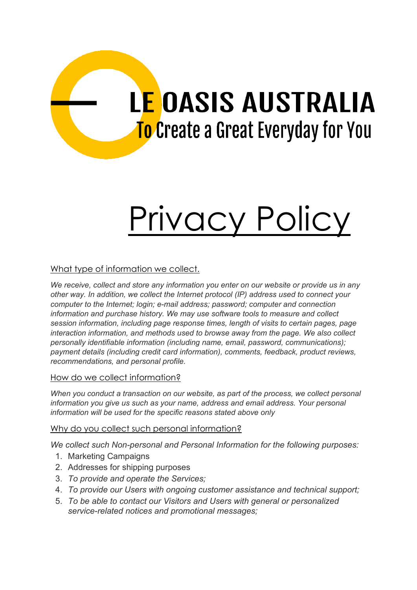# **LE OASIS AUSTRALIA** To Create a Great Everyday for You

# Privacy Policy

# What type of information we collect.

*We receive, collect and store any information you enter on our website or provide us in any other way. In addition, we collect the Internet protocol (IP) address used to connect your computer to the Internet; login; e-mail address; password; computer and connection information and purchase history. We may use software tools to measure and collect session information, including page response times, length of visits to certain pages, page interaction information, and methods used to browse away from the page. We also collect personally identifiable information (including name, email, password, communications); payment details (including credit card information), comments, feedback, product reviews, recommendations, and personal profile.*

## How do we collect information?

*When you conduct a transaction on our website, as part of the process, we collect personal information you give us such as your name, address and email address. Your personal information will be used for the specific reasons stated above only*

## Why do you collect such personal information?

*We collect such Non-personal and Personal Information for the following purposes:*

- 1. Marketing Campaigns
- 2. Addresses for shipping purposes
- 3. *To provide and operate the Services;*
- 4. *To provide our Users with ongoing customer assistance and technical support;*
- 5. *To be able to contact our Visitors and Users with general or personalized service-related notices and promotional messages;*